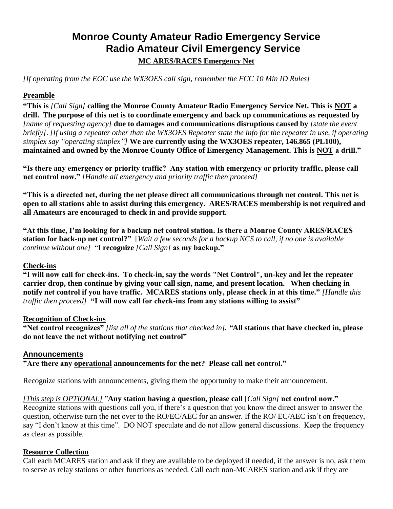## **Monroe County Amateur Radio Emergency Service Radio Amateur Civil Emergency Service MC ARES/RACES Emergency Net**

*[If operating from the EOC use the WX3OES call sign, remember the FCC 10 Min ID Rules]*

## **Preamble**

**"This is** *[Call Sign]* **calling the Monroe County Amateur Radio Emergency Service Net. This is NOT a drill. The purpose of this net is to coordinate emergency and back up communications as requested by**  *[name of requesting agency]* **due to damages and communications disruptions caused by** *[state the event briefly]*. *[If using a repeater other than the WX3OES Repeater state the info for the repeater in use, if operating simplex say "operating simplex"]* **We are currently using the WX3OES repeater, 146.865 (PL100), maintained and owned by the Monroe County Office of Emergency Management. This is NOT a drill."**

**"Is there any emergency or priority traffic? Any station with emergency or priority traffic, please call net control now."** *[Handle all emergency and priority traffic then proceed]*

**"This is a directed net, during the net please direct all communications through net control. This net is open to all stations able to assist during this emergency. ARES/RACES membership is not required and all Amateurs are encouraged to check in and provide support.** 

**"At this time, I'm looking for a backup net control station. Is there a Monroe County ARES/RACES station for back-up net control?"** [*Wait a few seconds for a backup NCS to call, if no one is available continue without one]* "**I recognize** *[Call Sign]* **as my backup."**

## **Check-ins**

**"I will now call for check-ins. To check-in, say the words "Net Control", un-key and let the repeater carrier drop, then continue by giving your call sign, name, and present location. When checking in notify net control if you have traffic. MCARES stations only, please check in at this time."** *[Handle this traffic then proceed]* **"I will now call for check-ins from any stations willing to assist"**

## **Recognition of Check-ins**

**"Net control recognizes"** *[list all of the stations that checked in]. "***All stations that have checked in, please do not leave the net without notifying net control"**

## **Announcements**

**"Are there any operational announcements for the net? Please call net control."**

Recognize stations with announcements, giving them the opportunity to make their announcement.

#### *[This step is OPTIONAL]* "**Any station having a question, please call** [*Call Sign]* **net control now."**

Recognize stations with questions call you, if there's a question that you know the direct answer to answer the question, otherwise turn the net over to the RO/EC/AEC for an answer. If the RO/ EC/AEC isn't on frequency, say "I don't know at this time". DO NOT speculate and do not allow general discussions. Keep the frequency as clear as possible.

#### **Resource Collection**

Call each MCARES station and ask if they are available to be deployed if needed, if the answer is no, ask them to serve as relay stations or other functions as needed. Call each non-MCARES station and ask if they are